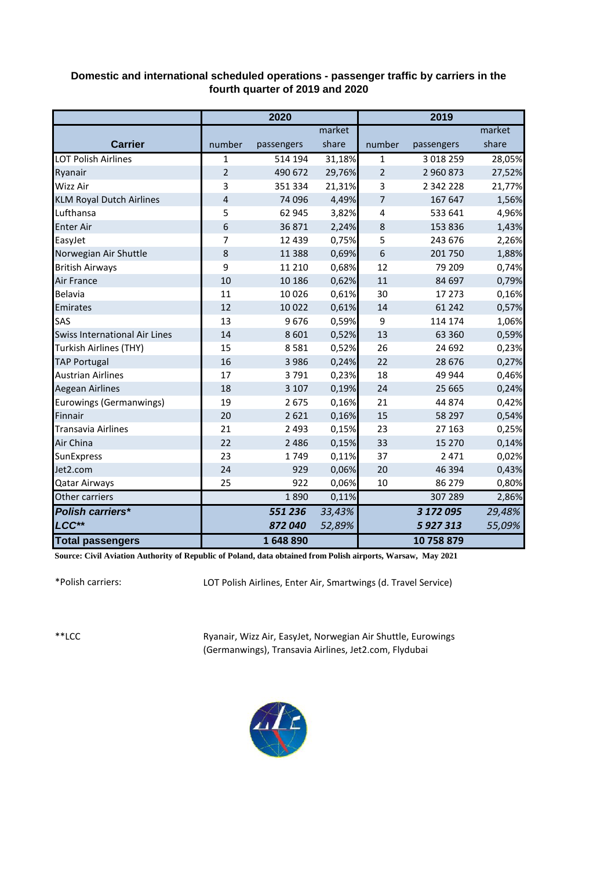## **Domestic and international scheduled operations - passenger traffic by carriers in the fourth quarter of 2019 and 2020**

|                                      | 2020           |            |        | 2019           |               |        |
|--------------------------------------|----------------|------------|--------|----------------|---------------|--------|
|                                      |                |            | market |                |               | market |
| <b>Carrier</b>                       | number         | passengers | share  | number         | passengers    | share  |
| <b>LOT Polish Airlines</b>           | 1              | 514 194    | 31,18% | $\mathbf{1}$   | 3 0 18 2 5 9  | 28,05% |
| Ryanair                              | $\overline{2}$ | 490 672    | 29,76% | $\overline{2}$ | 2 960 873     | 27,52% |
| <b>Wizz Air</b>                      | 3              | 351 334    | 21,31% | 3              | 2 3 4 2 2 2 8 | 21,77% |
| <b>KLM Royal Dutch Airlines</b>      | 4              | 74 096     | 4,49%  | 7              | 167 647       | 1,56%  |
| Lufthansa                            | 5              | 62 945     | 3,82%  | 4              | 533 641       | 4,96%  |
| <b>Enter Air</b>                     | 6              | 36871      | 2,24%  | 8              | 153 836       | 1,43%  |
| EasyJet                              | 7              | 12 439     | 0,75%  | 5              | 243 676       | 2,26%  |
| Norwegian Air Shuttle                | 8              | 11 3 8 8   | 0,69%  | 6              | 201 750       | 1,88%  |
| <b>British Airways</b>               | 9              | 11 210     | 0,68%  | 12             | 79 209        | 0,74%  |
| <b>Air France</b>                    | 10             | 10 18 6    | 0,62%  | 11             | 84 697        | 0,79%  |
| Belavia                              | 11             | 10026      | 0,61%  | 30             | 17 273        | 0,16%  |
| Emirates                             | 12             | 10 0 22    | 0,61%  | 14             | 61 242        | 0,57%  |
| <b>SAS</b>                           | 13             | 9676       | 0,59%  | 9              | 114 174       | 1,06%  |
| <b>Swiss International Air Lines</b> | 14             | 8 6 0 1    | 0,52%  | 13             | 63 360        | 0,59%  |
| Turkish Airlines (THY)               | 15             | 8581       | 0,52%  | 26             | 24 692        | 0,23%  |
| <b>TAP Portugal</b>                  | 16             | 3 9 8 6    | 0,24%  | 22             | 28 676        | 0,27%  |
| <b>Austrian Airlines</b>             | 17             | 3791       | 0,23%  | 18             | 49 944        | 0,46%  |
| <b>Aegean Airlines</b>               | 18             | 3 1 0 7    | 0,19%  | 24             | 25 6 65       | 0,24%  |
| Eurowings (Germanwings)              | 19             | 2675       | 0,16%  | 21             | 44 874        | 0,42%  |
| <b>Finnair</b>                       | 20             | 2621       | 0,16%  | 15             | 58 297        | 0,54%  |
| <b>Transavia Airlines</b>            | 21             | 2 4 9 3    | 0,15%  | 23             | 27 163        | 0,25%  |
| Air China                            | 22             | 2 4 8 6    | 0,15%  | 33             | 15 270        | 0,14%  |
| SunExpress                           | 23             | 1749       | 0,11%  | 37             | 2 4 7 1       | 0,02%  |
| Jet2.com                             | 24             | 929        | 0,06%  | 20             | 46 394        | 0,43%  |
| <b>Qatar Airways</b>                 | 25             | 922        | 0,06%  | 10             | 86 279        | 0,80%  |
| Other carriers                       |                | 1890       | 0,11%  |                | 307 289       | 2,86%  |
| Polish carriers*                     |                | 551 236    | 33,43% |                | 3 172 095     | 29,48% |
| LCC**                                |                | 872040     | 52,89% |                | 5 927 313     | 55,09% |
| <b>Total passengers</b>              |                | 1648890    |        |                | 10758879      |        |

**Source: Civil Aviation Authority of Republic of Poland, data obtained from Polish airports, Warsaw, May 2021**

\*Polish carriers:

LOT Polish Airlines, Enter Air, Smartwings (d. Travel Service)

\*\*LCC

Ryanair, Wizz Air, EasyJet, Norwegian Air Shuttle, Eurowings (Germanwings), Transavia Airlines, Jet2.com, Flydubai